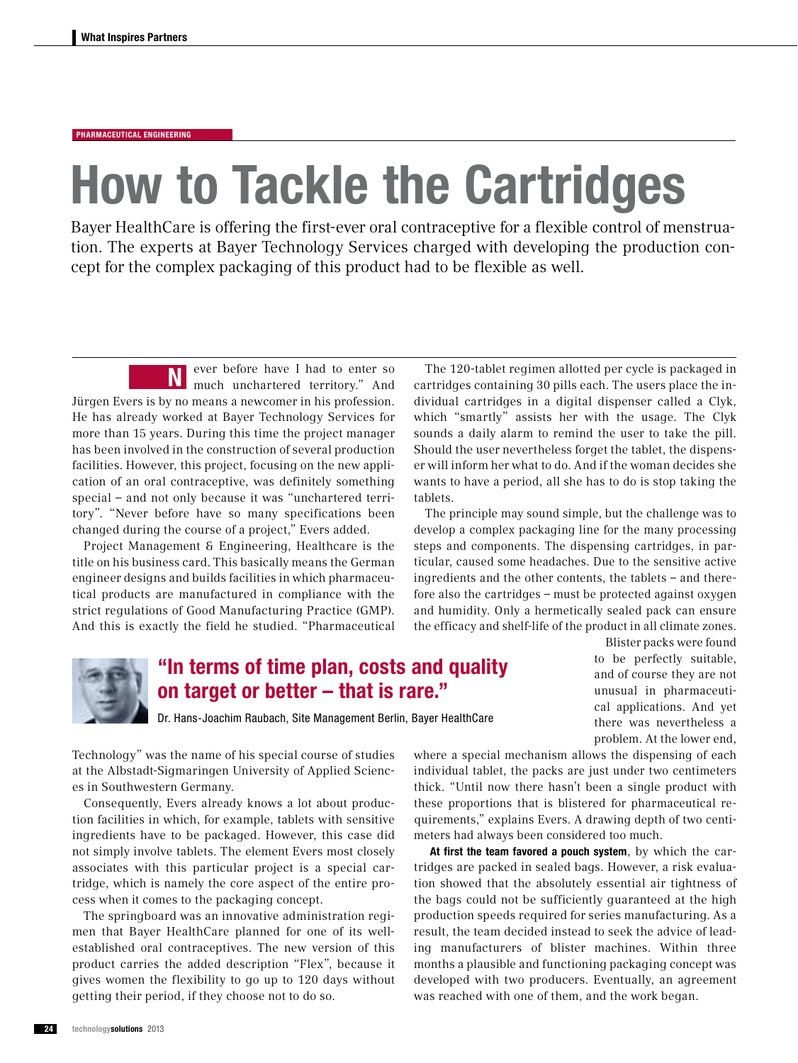## Pharmaceutical engineering

## How to Tackle the Cartridges

Bayer HealthCare is offering the first-ever oral contraceptive for a flexible control of menstruation. The experts at Bayer Technology Services charged with developing the production concept for the complex packaging of this product had to be flexible as well.

ever before have I had to enter so much unchartered territory." And Jürgen Evers is by no means a newcomer in his profession. He has already worked at Bayer Technology Services for more than 15 years. During this time the project manager has been involved in the construction of several production facilities. However, this project, focusing on the new application of an oral contraceptive, was definitely something special – and not only because it was "unchartered territory". "Never before have so many specifications been changed during the course of a project," Evers added. N

Project Management & Engineering, Healthcare is the title on his business card. This basically means the German engineer designs and builds facilities in which pharmaceutical products are manufactured in compliance with the strict regulations of Good Manufacturing Practice (GMP). And this is exactly the field he studied. "Pharmaceutical

The 120-tablet regimen allotted per cycle is packaged in cartridges containing 30 pills each. The users place the individual cartridges in a digital dispenser called a Clyk, which "smartly" assists her with the usage. The Clyk sounds a daily alarm to remind the user to take the pill. Should the user nevertheless forget the tablet, the dispenser will inform her what to do. And if the woman decides she wants to have a period, all she has to do is stop taking the tablets.

The principle may sound simple, but the challenge was to develop a complex packaging line for the many processing steps and components. The dispensing cartridges, in particular, caused some headaches. Due to the sensitive active ingredients and the other contents, the tablets – and therefore also the cartridges – must be protected against oxygen and humidity. Only a hermetically sealed pack can ensure the efficacy and shelf-life of the product in all climate zones.



## "In terms of time plan, costs and quality on target or better – that is rare."

and of course they are not unusual in pharmaceutical applications. And yet there was nevertheless a

Blister packs were found to be perfectly suitable,

problem. At the lower end,

Dr. Hans-Joachim Raubach, Site Management Berlin, Bayer HealthCare

Technology" was the name of his special course of studies at the Albstadt-Sigmaringen University of Applied Sciences in Southwestern Germany.

Consequently, Evers already knows a lot about production facilities in which, for example, tablets with sensitive ingredients have to be packaged. However, this case did not simply involve tablets. The element Evers most closely associates with this particular project is a special cartridge, which is namely the core aspect of the entire process when it comes to the packaging concept.

The springboard was an innovative administration regimen that Bayer HealthCare planned for one of its wellestablished oral contraceptives. The new version of this product carries the added description "Flex", because it gives women the flexibility to go up to 120 days without getting their period, if they choose not to do so.

where a special mechanism allows the dispensing of each individual tablet, the packs are just under two centimeters thick. "Until now there hasn't been a single product with these proportions that is blistered for pharmaceutical requirements," explains Evers. A drawing depth of two centimeters had always been considered too much.

At first the team favored a pouch system, by which the cartridges are packed in sealed bags. However, a risk evaluation showed that the absolutely essential air tightness of the bags could not be sufficiently guaranteed at the high production speeds required for series manufacturing. As a result, the team decided instead to seek the advice of leading manufacturers of blister machines. Within three months a plausible and functioning packaging concept was developed with two producers. Eventually, an agreement was reached with one of them, and the work began.